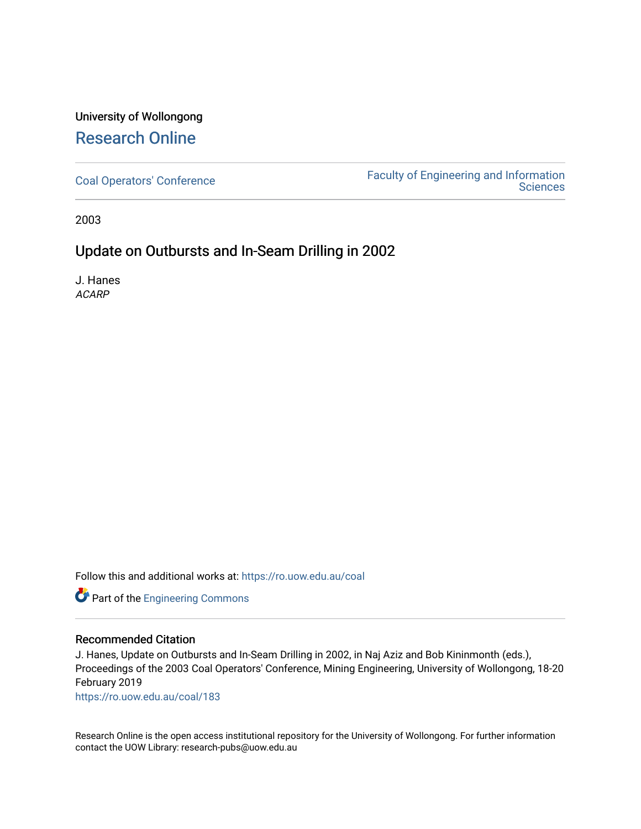## University of Wollongong [Research Online](https://ro.uow.edu.au/)

[Coal Operators' Conference](https://ro.uow.edu.au/coal) [Faculty of Engineering and Information](https://ro.uow.edu.au/eis)  **Sciences** 

2003

## Update on Outbursts and In-Seam Drilling in 2002

J. Hanes ACARP

Follow this and additional works at: [https://ro.uow.edu.au/coal](https://ro.uow.edu.au/coal?utm_source=ro.uow.edu.au%2Fcoal%2F183&utm_medium=PDF&utm_campaign=PDFCoverPages) 

Part of the [Engineering Commons](http://network.bepress.com/hgg/discipline/217?utm_source=ro.uow.edu.au%2Fcoal%2F183&utm_medium=PDF&utm_campaign=PDFCoverPages)

#### Recommended Citation

J. Hanes, Update on Outbursts and In-Seam Drilling in 2002, in Naj Aziz and Bob Kininmonth (eds.), Proceedings of the 2003 Coal Operators' Conference, Mining Engineering, University of Wollongong, 18-20 February 2019

[https://ro.uow.edu.au/coal/183](https://ro.uow.edu.au/coal/183?utm_source=ro.uow.edu.au%2Fcoal%2F183&utm_medium=PDF&utm_campaign=PDFCoverPages) 

Research Online is the open access institutional repository for the University of Wollongong. For further information contact the UOW Library: research-pubs@uow.edu.au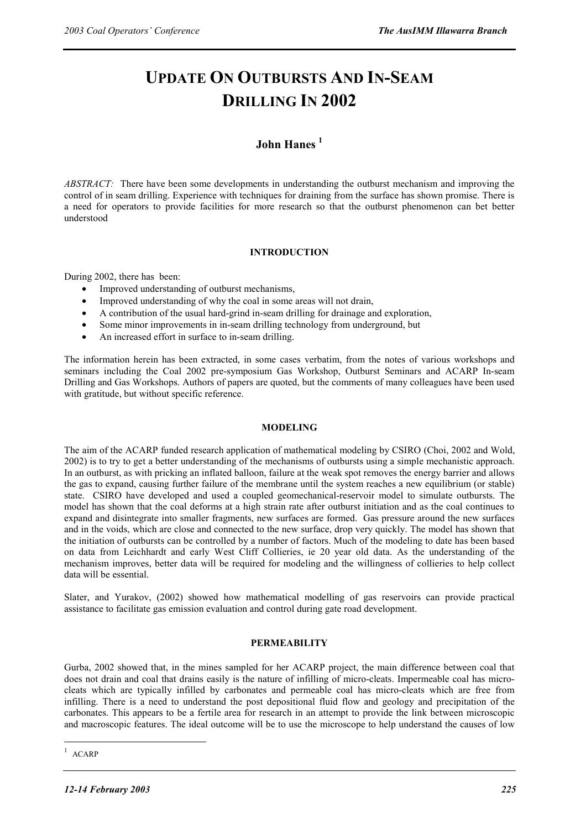# **UPDATE ON OUTBURSTS AND IN-SEAM DRILLING IN 2002**

### **John Hanes 1**

*ABSTRACT:* There have been some developments in understanding the outburst mechanism and improving the control of in seam drilling. Experience with techniques for draining from the surface has shown promise. There is a need for operators to provide facilities for more research so that the outburst phenomenon can bet better understood

#### **INTRODUCTION**

During 2002, there has been:

- Improved understanding of outburst mechanisms,
- Improved understanding of why the coal in some areas will not drain,
- A contribution of the usual hard-grind in-seam drilling for drainage and exploration,
- Some minor improvements in in-seam drilling technology from underground, but
- An increased effort in surface to in-seam drilling.

The information herein has been extracted, in some cases verbatim, from the notes of various workshops and seminars including the Coal 2002 pre-symposium Gas Workshop, Outburst Seminars and ACARP In-seam Drilling and Gas Workshops. Authors of papers are quoted, but the comments of many colleagues have been used with gratitude, but without specific reference.

#### **MODELING**

The aim of the ACARP funded research application of mathematical modeling by CSIRO (Choi, 2002 and Wold, 2002) is to try to get a better understanding of the mechanisms of outbursts using a simple mechanistic approach. In an outburst, as with pricking an inflated balloon, failure at the weak spot removes the energy barrier and allows the gas to expand, causing further failure of the membrane until the system reaches a new equilibrium (or stable) state. CSIRO have developed and used a coupled geomechanical-reservoir model to simulate outbursts. The model has shown that the coal deforms at a high strain rate after outburst initiation and as the coal continues to expand and disintegrate into smaller fragments, new surfaces are formed. Gas pressure around the new surfaces and in the voids, which are close and connected to the new surface, drop very quickly. The model has shown that the initiation of outbursts can be controlled by a number of factors. Much of the modeling to date has been based on data from Leichhardt and early West Cliff Collieries, ie 20 year old data. As the understanding of the mechanism improves, better data will be required for modeling and the willingness of collieries to help collect data will be essential.

Slater, and Yurakov, (2002) showed how mathematical modelling of gas reservoirs can provide practical assistance to facilitate gas emission evaluation and control during gate road development.

#### **PERMEABILITY**

Gurba, 2002 showed that, in the mines sampled for her ACARP project, the main difference between coal that does not drain and coal that drains easily is the nature of infilling of micro-cleats. Impermeable coal has microcleats which are typically infilled by carbonates and permeable coal has micro-cleats which are free from infilling. There is a need to understand the post depositional fluid flow and geology and precipitation of the carbonates. This appears to be a fertile area for research in an attempt to provide the link between microscopic and macroscopic features. The ideal outcome will be to use the microscope to help understand the causes of low

 $\overline{a}$ 

<sup>1</sup> ACARP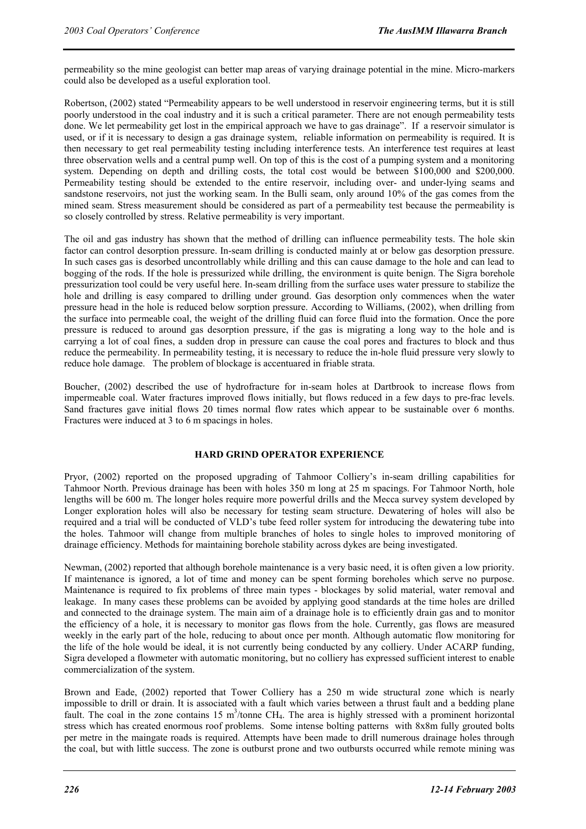permeability so the mine geologist can better map areas of varying drainage potential in the mine. Micro-markers could also be developed as a useful exploration tool.

Robertson, (2002) stated "Permeability appears to be well understood in reservoir engineering terms, but it is still poorly understood in the coal industry and it is such a critical parameter. There are not enough permeability tests done. We let permeability get lost in the empirical approach we have to gas drainage". If a reservoir simulator is used, or if it is necessary to design a gas drainage system, reliable information on permeability is required. It is then necessary to get real permeability testing including interference tests. An interference test requires at least three observation wells and a central pump well. On top of this is the cost of a pumping system and a monitoring system. Depending on depth and drilling costs, the total cost would be between \$100,000 and \$200,000. Permeability testing should be extended to the entire reservoir, including over- and under-lying seams and sandstone reservoirs, not just the working seam. In the Bulli seam, only around 10% of the gas comes from the mined seam. Stress measurement should be considered as part of a permeability test because the permeability is so closely controlled by stress. Relative permeability is very important.

The oil and gas industry has shown that the method of drilling can influence permeability tests. The hole skin factor can control desorption pressure. In-seam drilling is conducted mainly at or below gas desorption pressure. In such cases gas is desorbed uncontrollably while drilling and this can cause damage to the hole and can lead to bogging of the rods. If the hole is pressurized while drilling, the environment is quite benign. The Sigra borehole pressurization tool could be very useful here. In-seam drilling from the surface uses water pressure to stabilize the hole and drilling is easy compared to drilling under ground. Gas desorption only commences when the water pressure head in the hole is reduced below sorption pressure. According to Williams, (2002), when drilling from the surface into permeable coal, the weight of the drilling fluid can force fluid into the formation. Once the pore pressure is reduced to around gas desorption pressure, if the gas is migrating a long way to the hole and is carrying a lot of coal fines, a sudden drop in pressure can cause the coal pores and fractures to block and thus reduce the permeability. In permeability testing, it is necessary to reduce the in-hole fluid pressure very slowly to reduce hole damage. The problem of blockage is accentuared in friable strata.

Boucher, (2002) described the use of hydrofracture for in-seam holes at Dartbrook to increase flows from impermeable coal. Water fractures improved flows initially, but flows reduced in a few days to pre-frac levels. Sand fractures gave initial flows 20 times normal flow rates which appear to be sustainable over 6 months. Fractures were induced at 3 to 6 m spacings in holes.

#### **HARD GRIND OPERATOR EXPERIENCE**

Pryor, (2002) reported on the proposed upgrading of Tahmoor Colliery's in-seam drilling capabilities for Tahmoor North. Previous drainage has been with holes 350 m long at 25 m spacings. For Tahmoor North, hole lengths will be 600 m. The longer holes require more powerful drills and the Mecca survey system developed by Longer exploration holes will also be necessary for testing seam structure. Dewatering of holes will also be required and a trial will be conducted of VLD's tube feed roller system for introducing the dewatering tube into the holes. Tahmoor will change from multiple branches of holes to single holes to improved monitoring of drainage efficiency. Methods for maintaining borehole stability across dykes are being investigated.

Newman, (2002) reported that although borehole maintenance is a very basic need, it is often given a low priority. If maintenance is ignored, a lot of time and money can be spent forming boreholes which serve no purpose. Maintenance is required to fix problems of three main types - blockages by solid material, water removal and leakage. In many cases these problems can be avoided by applying good standards at the time holes are drilled and connected to the drainage system. The main aim of a drainage hole is to efficiently drain gas and to monitor the efficiency of a hole, it is necessary to monitor gas flows from the hole. Currently, gas flows are measured weekly in the early part of the hole, reducing to about once per month. Although automatic flow monitoring for the life of the hole would be ideal, it is not currently being conducted by any colliery. Under ACARP funding, Sigra developed a flowmeter with automatic monitoring, but no colliery has expressed sufficient interest to enable commercialization of the system.

Brown and Eade, (2002) reported that Tower Colliery has a 250 m wide structural zone which is nearly impossible to drill or drain. It is associated with a fault which varies between a thrust fault and a bedding plane fault. The coal in the zone contains 15  $m<sup>3</sup>/tonne CH<sub>4</sub>$ . The area is highly stressed with a prominent horizontal stress which has created enormous roof problems. Some intense bolting patterns with 8x8m fully grouted bolts per metre in the maingate roads is required. Attempts have been made to drill numerous drainage holes through the coal, but with little success. The zone is outburst prone and two outbursts occurred while remote mining was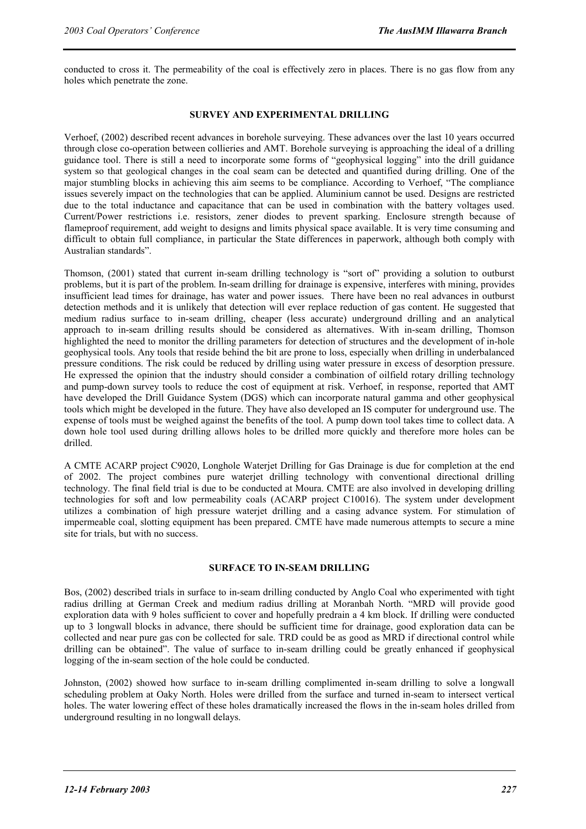conducted to cross it. The permeability of the coal is effectively zero in places. There is no gas flow from any holes which penetrate the zone.

#### **SURVEY AND EXPERIMENTAL DRILLING**

Verhoef, (2002) described recent advances in borehole surveying. These advances over the last 10 years occurred through close co-operation between collieries and AMT. Borehole surveying is approaching the ideal of a drilling guidance tool. There is still a need to incorporate some forms of "geophysical logging" into the drill guidance system so that geological changes in the coal seam can be detected and quantified during drilling. One of the major stumbling blocks in achieving this aim seems to be compliance. According to Verhoef, "The compliance issues severely impact on the technologies that can be applied. Aluminium cannot be used. Designs are restricted due to the total inductance and capacitance that can be used in combination with the battery voltages used. Current/Power restrictions i.e. resistors, zener diodes to prevent sparking. Enclosure strength because of flameproof requirement, add weight to designs and limits physical space available. It is very time consuming and difficult to obtain full compliance, in particular the State differences in paperwork, although both comply with Australian standards".

Thomson, (2001) stated that current in-seam drilling technology is "sort of" providing a solution to outburst problems, but it is part of the problem. In-seam drilling for drainage is expensive, interferes with mining, provides insufficient lead times for drainage, has water and power issues. There have been no real advances in outburst detection methods and it is unlikely that detection will ever replace reduction of gas content. He suggested that medium radius surface to in-seam drilling, cheaper (less accurate) underground drilling and an analytical approach to in-seam drilling results should be considered as alternatives. With in-seam drilling, Thomson highlighted the need to monitor the drilling parameters for detection of structures and the development of in-hole geophysical tools. Any tools that reside behind the bit are prone to loss, especially when drilling in underbalanced pressure conditions. The risk could be reduced by drilling using water pressure in excess of desorption pressure. He expressed the opinion that the industry should consider a combination of oilfield rotary drilling technology and pump-down survey tools to reduce the cost of equipment at risk. Verhoef, in response, reported that AMT have developed the Drill Guidance System (DGS) which can incorporate natural gamma and other geophysical tools which might be developed in the future. They have also developed an IS computer for underground use. The expense of tools must be weighed against the benefits of the tool. A pump down tool takes time to collect data. A down hole tool used during drilling allows holes to be drilled more quickly and therefore more holes can be drilled.

A CMTE ACARP project C9020, Longhole Waterjet Drilling for Gas Drainage is due for completion at the end of 2002. The project combines pure waterjet drilling technology with conventional directional drilling technology. The final field trial is due to be conducted at Moura. CMTE are also involved in developing drilling technologies for soft and low permeability coals (ACARP project C10016). The system under development utilizes a combination of high pressure waterjet drilling and a casing advance system. For stimulation of impermeable coal, slotting equipment has been prepared. CMTE have made numerous attempts to secure a mine site for trials, but with no success.

#### **SURFACE TO IN-SEAM DRILLING**

Bos, (2002) described trials in surface to in-seam drilling conducted by Anglo Coal who experimented with tight radius drilling at German Creek and medium radius drilling at Moranbah North. "MRD will provide good exploration data with 9 holes sufficient to cover and hopefully predrain a 4 km block. If drilling were conducted up to 3 longwall blocks in advance, there should be sufficient time for drainage, good exploration data can be collected and near pure gas con be collected for sale. TRD could be as good as MRD if directional control while drilling can be obtained". The value of surface to in-seam drilling could be greatly enhanced if geophysical logging of the in-seam section of the hole could be conducted.

Johnston, (2002) showed how surface to in-seam drilling complimented in-seam drilling to solve a longwall scheduling problem at Oaky North. Holes were drilled from the surface and turned in-seam to intersect vertical holes. The water lowering effect of these holes dramatically increased the flows in the in-seam holes drilled from underground resulting in no longwall delays.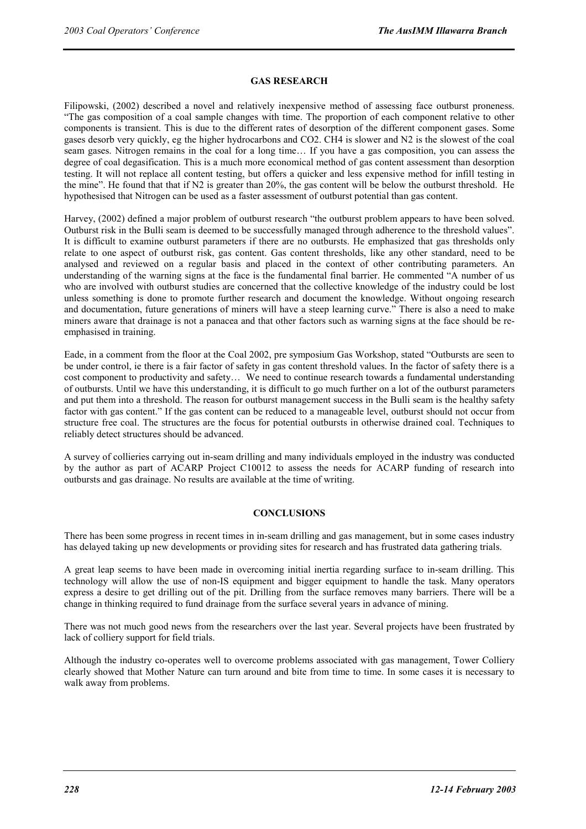#### **GAS RESEARCH**

Filipowski, (2002) described a novel and relatively inexpensive method of assessing face outburst proneness. "The gas composition of a coal sample changes with time. The proportion of each component relative to other components is transient. This is due to the different rates of desorption of the different component gases. Some gases desorb very quickly, eg the higher hydrocarbons and CO2. CH4 is slower and N2 is the slowest of the coal seam gases. Nitrogen remains in the coal for a long time… If you have a gas composition, you can assess the degree of coal degasification. This is a much more economical method of gas content assessment than desorption testing. It will not replace all content testing, but offers a quicker and less expensive method for infill testing in the mine". He found that that if N2 is greater than 20%, the gas content will be below the outburst threshold. He hypothesised that Nitrogen can be used as a faster assessment of outburst potential than gas content.

Harvey, (2002) defined a major problem of outburst research "the outburst problem appears to have been solved. Outburst risk in the Bulli seam is deemed to be successfully managed through adherence to the threshold values". It is difficult to examine outburst parameters if there are no outbursts. He emphasized that gas thresholds only relate to one aspect of outburst risk, gas content. Gas content thresholds, like any other standard, need to be analysed and reviewed on a regular basis and placed in the context of other contributing parameters. An understanding of the warning signs at the face is the fundamental final barrier. He commented "A number of us who are involved with outburst studies are concerned that the collective knowledge of the industry could be lost unless something is done to promote further research and document the knowledge. Without ongoing research and documentation, future generations of miners will have a steep learning curve." There is also a need to make miners aware that drainage is not a panacea and that other factors such as warning signs at the face should be reemphasised in training.

Eade, in a comment from the floor at the Coal 2002, pre symposium Gas Workshop, stated "Outbursts are seen to be under control, ie there is a fair factor of safety in gas content threshold values. In the factor of safety there is a cost component to productivity and safety… We need to continue research towards a fundamental understanding of outbursts. Until we have this understanding, it is difficult to go much further on a lot of the outburst parameters and put them into a threshold. The reason for outburst management success in the Bulli seam is the healthy safety factor with gas content." If the gas content can be reduced to a manageable level, outburst should not occur from structure free coal. The structures are the focus for potential outbursts in otherwise drained coal. Techniques to reliably detect structures should be advanced.

A survey of collieries carrying out in-seam drilling and many individuals employed in the industry was conducted by the author as part of ACARP Project C10012 to assess the needs for ACARP funding of research into outbursts and gas drainage. No results are available at the time of writing.

#### **CONCLUSIONS**

There has been some progress in recent times in in-seam drilling and gas management, but in some cases industry has delayed taking up new developments or providing sites for research and has frustrated data gathering trials.

A great leap seems to have been made in overcoming initial inertia regarding surface to in-seam drilling. This technology will allow the use of non-IS equipment and bigger equipment to handle the task. Many operators express a desire to get drilling out of the pit. Drilling from the surface removes many barriers. There will be a change in thinking required to fund drainage from the surface several years in advance of mining.

There was not much good news from the researchers over the last year. Several projects have been frustrated by lack of colliery support for field trials.

Although the industry co-operates well to overcome problems associated with gas management, Tower Colliery clearly showed that Mother Nature can turn around and bite from time to time. In some cases it is necessary to walk away from problems.